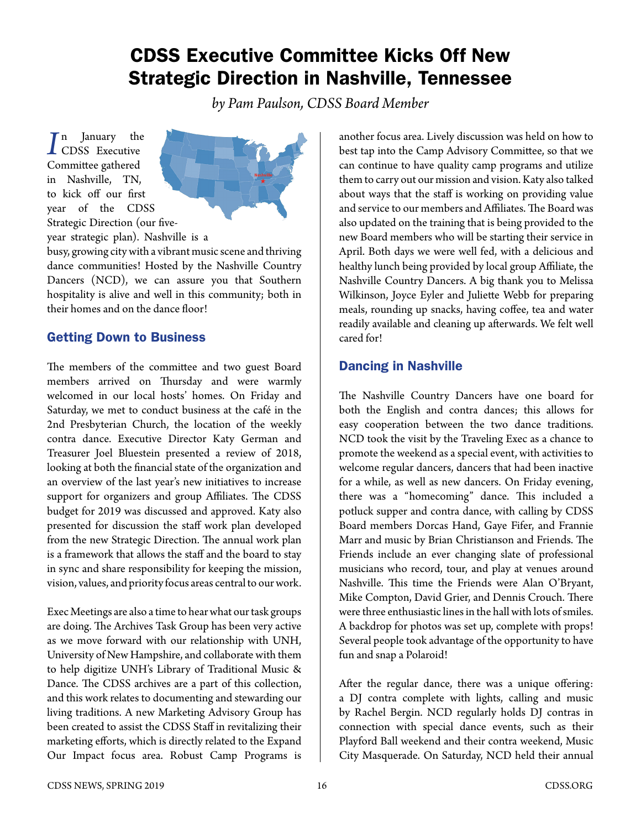# CDSS Executive Committee Kicks Off New Strategic Direction in Nashville, Tennessee

*by Pam Paulson, CDSS Board Member*

*I*n January the<br>
CDSS Executive n January the Committee gathered in Nashville, TN, to kick off our first year of the CDSS Strategic Direction (our five-



year strategic plan). Nashville is a

busy, growing city with a vibrant music scene and thriving dance communities! Hosted by the Nashville Country Dancers (NCD), we can assure you that Southern hospitality is alive and well in this community; both in their homes and on the dance floor!

## Getting Down to Business

The members of the committee and two guest Board members arrived on Thursday and were warmly welcomed in our local hosts' homes. On Friday and Saturday, we met to conduct business at the café in the 2nd Presbyterian Church, the location of the weekly contra dance. Executive Director Katy German and Treasurer Joel Bluestein presented a review of 2018, looking at both the financial state of the organization and an overview of the last year's new initiatives to increase support for organizers and group Affiliates. The CDSS budget for 2019 was discussed and approved. Katy also presented for discussion the staff work plan developed from the new Strategic Direction. The annual work plan is a framework that allows the staff and the board to stay in sync and share responsibility for keeping the mission, vision, values, and priority focus areas central to our work.

Exec Meetings are also a time to hear what our task groups are doing. The Archives Task Group has been very active as we move forward with our relationship with UNH, University of New Hampshire, and collaborate with them to help digitize UNH's Library of Traditional Music & Dance. The CDSS archives are a part of this collection, and this work relates to documenting and stewarding our living traditions. A new Marketing Advisory Group has been created to assist the CDSS Staff in revitalizing their marketing efforts, which is directly related to the Expand Our Impact focus area. Robust Camp Programs is another focus area. Lively discussion was held on how to best tap into the Camp Advisory Committee, so that we can continue to have quality camp programs and utilize them to carry out our mission and vision. Katy also talked about ways that the staff is working on providing value and service to our members and Affiliates. The Board was also updated on the training that is being provided to the new Board members who will be starting their service in April. Both days we were well fed, with a delicious and healthy lunch being provided by local group Affiliate, the Nashville Country Dancers. A big thank you to Melissa Wilkinson, Joyce Eyler and Juliette Webb for preparing meals, rounding up snacks, having coffee, tea and water readily available and cleaning up afterwards. We felt well cared for!

# Dancing in Nashville

The Nashville Country Dancers have one board for both the English and contra dances; this allows for easy cooperation between the two dance traditions. NCD took the visit by the Traveling Exec as a chance to promote the weekend as a special event, with activities to welcome regular dancers, dancers that had been inactive for a while, as well as new dancers. On Friday evening, there was a "homecoming" dance. This included a potluck supper and contra dance, with calling by CDSS Board members Dorcas Hand, Gaye Fifer, and Frannie Marr and music by Brian Christianson and Friends. The Friends include an ever changing slate of professional musicians who record, tour, and play at venues around Nashville. This time the Friends were Alan O'Bryant, Mike Compton, David Grier, and Dennis Crouch. There were three enthusiastic lines in the hall with lots of smiles. A backdrop for photos was set up, complete with props! Several people took advantage of the opportunity to have fun and snap a Polaroid!

After the regular dance, there was a unique offering: a DJ contra complete with lights, calling and music by Rachel Bergin. NCD regularly holds DJ contras in connection with special dance events, such as their Playford Ball weekend and their contra weekend, Music City Masquerade. On Saturday, NCD held their annual